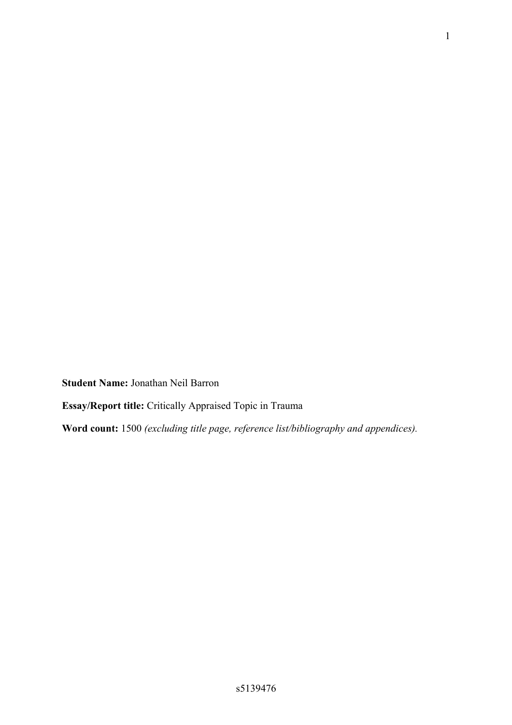**Student Name:** Jonathan Neil Barron

**Essay/Report title:** Critically Appraised Topic in Trauma

**Word count:** 1500 *(excluding title page, reference list/bibliography and appendices).*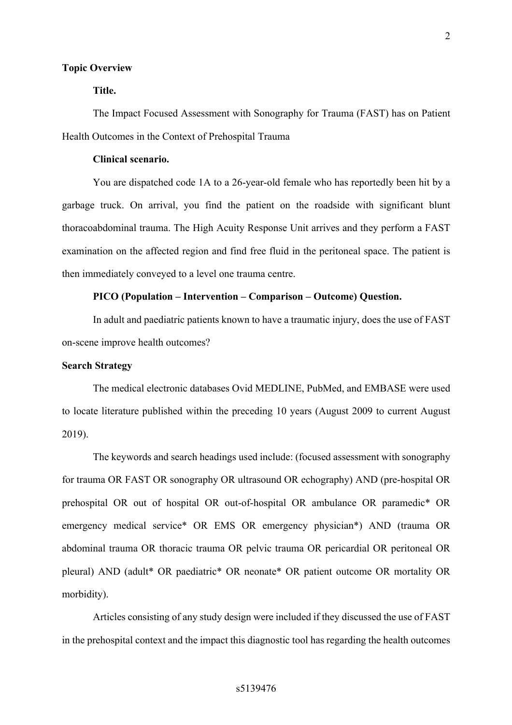#### **Topic Overview**

## **Title.**

The Impact Focused Assessment with Sonography for Trauma (FAST) has on Patient Health Outcomes in the Context of Prehospital Trauma

### **Clinical scenario.**

You are dispatched code 1A to a 26-year-old female who has reportedly been hit by a garbage truck. On arrival, you find the patient on the roadside with significant blunt thoracoabdominal trauma. The High Acuity Response Unit arrives and they perform a FAST examination on the affected region and find free fluid in the peritoneal space. The patient is then immediately conveyed to a level one trauma centre.

### **PICO (Population – Intervention – Comparison – Outcome) Question.**

In adult and paediatric patients known to have a traumatic injury, does the use of FAST on-scene improve health outcomes?

### **Search Strategy**

The medical electronic databases Ovid MEDLINE, PubMed, and EMBASE were used to locate literature published within the preceding 10 years (August 2009 to current August 2019).

The keywords and search headings used include: (focused assessment with sonography for trauma OR FAST OR sonography OR ultrasound OR echography) AND (pre-hospital OR prehospital OR out of hospital OR out-of-hospital OR ambulance OR paramedic\* OR emergency medical service\* OR EMS OR emergency physician\*) AND (trauma OR abdominal trauma OR thoracic trauma OR pelvic trauma OR pericardial OR peritoneal OR pleural) AND (adult\* OR paediatric\* OR neonate\* OR patient outcome OR mortality OR morbidity).

Articles consisting of any study design were included if they discussed the use of FAST in the prehospital context and the impact this diagnostic tool has regarding the health outcomes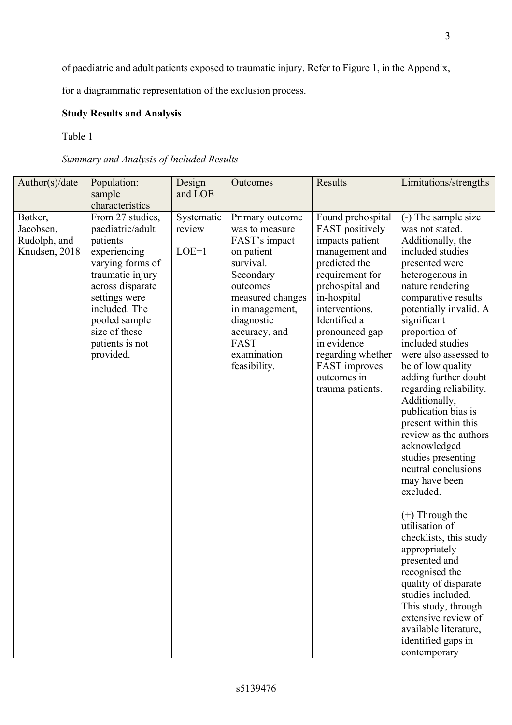of paediatric and adult patients exposed to traumatic injury. Refer to Figure 1, in the Appendix,

for a diagrammatic representation of the exclusion process.

# **Study Results and Analysis**

Table 1

# *Summary and Analysis of Included Results*

| Author(s)/date                                        | Population:<br>sample<br>characteristics                                                                                                                                                                                         | Design<br>and LOE               | Outcomes                                                                                                                                                                                                           | Results                                                                                                                                                                                                                                                                                            | Limitations/strengths                                                                                                                                                                                                                                                                                                                                                                                                                                                                                                                                                                                                                                                                                                                                                                                           |
|-------------------------------------------------------|----------------------------------------------------------------------------------------------------------------------------------------------------------------------------------------------------------------------------------|---------------------------------|--------------------------------------------------------------------------------------------------------------------------------------------------------------------------------------------------------------------|----------------------------------------------------------------------------------------------------------------------------------------------------------------------------------------------------------------------------------------------------------------------------------------------------|-----------------------------------------------------------------------------------------------------------------------------------------------------------------------------------------------------------------------------------------------------------------------------------------------------------------------------------------------------------------------------------------------------------------------------------------------------------------------------------------------------------------------------------------------------------------------------------------------------------------------------------------------------------------------------------------------------------------------------------------------------------------------------------------------------------------|
| Bøtker,<br>Jacobsen,<br>Rudolph, and<br>Knudsen, 2018 | From 27 studies,<br>paediatric/adult<br>patients<br>experiencing<br>varying forms of<br>traumatic injury<br>across disparate<br>settings were<br>included. The<br>pooled sample<br>size of these<br>patients is not<br>provided. | Systematic<br>review<br>$LOE=1$ | Primary outcome<br>was to measure<br>FAST's impact<br>on patient<br>survival.<br>Secondary<br>outcomes<br>measured changes<br>in management,<br>diagnostic<br>accuracy, and<br>FAST<br>examination<br>feasibility. | Found prehospital<br>FAST positively<br>impacts patient<br>management and<br>predicted the<br>requirement for<br>prehospital and<br>in-hospital<br>interventions.<br>Identified a<br>pronounced gap<br>in evidence<br>regarding whether<br><b>FAST</b> improves<br>outcomes in<br>trauma patients. | (-) The sample size<br>was not stated.<br>Additionally, the<br>included studies<br>presented were<br>heterogenous in<br>nature rendering<br>comparative results<br>potentially invalid. A<br>significant<br>proportion of<br>included studies<br>were also assessed to<br>be of low quality<br>adding further doubt<br>regarding reliability.<br>Additionally,<br>publication bias is<br>present within this<br>review as the authors<br>acknowledged<br>studies presenting<br>neutral conclusions<br>may have been<br>excluded.<br>$(+)$ Through the<br>utilisation of<br>checklists, this study<br>appropriately<br>presented and<br>recognised the<br>quality of disparate<br>studies included.<br>This study, through<br>extensive review of<br>available literature,<br>identified gaps in<br>contemporary |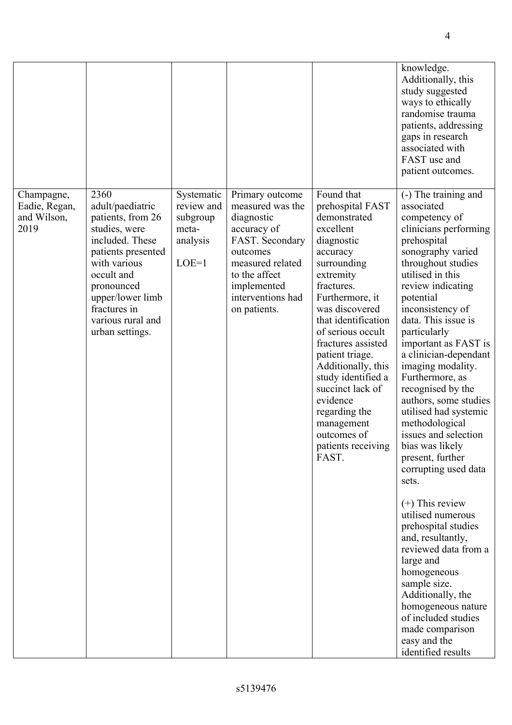|                                                    |                                                                                                                                                                                                                                 |                                                                      |                                                                                                                                                                                          |                                                                                                                                                                                                                                                                                                                                                                                                                    | knowledge.<br>Additionally, this<br>study suggested<br>ways to ethically<br>randomise trauma<br>patients, addressing<br>gaps in research<br>associated with<br>FAST use and<br>patient outcomes.                                                                                                                                                                                                                                                                                                                                                                                                                                                                                                                                                                                                                               |
|----------------------------------------------------|---------------------------------------------------------------------------------------------------------------------------------------------------------------------------------------------------------------------------------|----------------------------------------------------------------------|------------------------------------------------------------------------------------------------------------------------------------------------------------------------------------------|--------------------------------------------------------------------------------------------------------------------------------------------------------------------------------------------------------------------------------------------------------------------------------------------------------------------------------------------------------------------------------------------------------------------|--------------------------------------------------------------------------------------------------------------------------------------------------------------------------------------------------------------------------------------------------------------------------------------------------------------------------------------------------------------------------------------------------------------------------------------------------------------------------------------------------------------------------------------------------------------------------------------------------------------------------------------------------------------------------------------------------------------------------------------------------------------------------------------------------------------------------------|
| Champagne,<br>Eadie, Regan,<br>and Wilson,<br>2019 | 2360<br>adult/paediatric<br>patients, from 26<br>studies, were<br>included. These<br>patients presented<br>with various<br>occult and<br>pronounced<br>upper/lower limb<br>fractures in<br>various rural and<br>urban settings. | Systematic<br>review and<br>subgroup<br>meta-<br>analysis<br>$LOE=1$ | Primary outcome<br>measured was the<br>diagnostic<br>accuracy of<br>FAST. Secondary<br>outcomes<br>measured related<br>to the affect<br>implemented<br>interventions had<br>on patients. | Found that<br>prehospital FAST<br>demonstrated<br>excellent<br>diagnostic<br>accuracy<br>surrounding<br>extremity<br>fractures.<br>Furthermore, it<br>was discovered<br>that identification<br>of serious occult<br>fractures assisted<br>patient triage.<br>Additionally, this<br>study identified a<br>succinct lack of<br>evidence<br>regarding the<br>management<br>outcomes of<br>patients receiving<br>FAST. | (-) The training and<br>associated<br>competency of<br>clinicians performing<br>prehospital<br>sonography varied<br>throughout studies<br>utilised in this<br>review indicating<br>potential<br>inconsistency of<br>data. This issue is<br>particularly<br>important as FAST is<br>a clinician-dependant<br>imaging modality.<br>Furthermore, as<br>recognised by the<br>authors, some studies<br>utilised had systemic<br>methodological<br>issues and selection<br>bias was likely<br>present, further<br>corrupting used data<br>sets.<br>$(+)$ This review<br>utilised numerous<br>prehospital studies<br>and, resultantly,<br>reviewed data from a<br>large and<br>homogeneous<br>sample size.<br>Additionally, the<br>homogeneous nature<br>of included studies<br>made comparison<br>easy and the<br>identified results |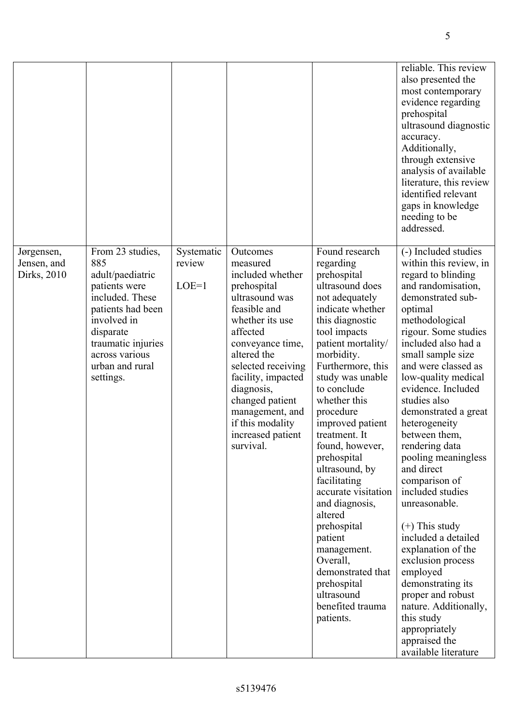|                                          |                                                                                                                                                                                                          |                                 |                                                                                                                                                                                                                                                                                                                   |                                                                                                                                                                                                                                                                                                                                                                                                                                                                                                                                                                      | reliable. This review<br>also presented the<br>most contemporary<br>evidence regarding<br>prehospital<br>ultrasound diagnostic<br>accuracy.<br>Additionally,<br>through extensive<br>analysis of available<br>literature, this review<br>identified relevant<br>gaps in knowledge<br>needing to be<br>addressed.                                                                                                                                                                                                                                                                                                                                                                                                         |
|------------------------------------------|----------------------------------------------------------------------------------------------------------------------------------------------------------------------------------------------------------|---------------------------------|-------------------------------------------------------------------------------------------------------------------------------------------------------------------------------------------------------------------------------------------------------------------------------------------------------------------|----------------------------------------------------------------------------------------------------------------------------------------------------------------------------------------------------------------------------------------------------------------------------------------------------------------------------------------------------------------------------------------------------------------------------------------------------------------------------------------------------------------------------------------------------------------------|--------------------------------------------------------------------------------------------------------------------------------------------------------------------------------------------------------------------------------------------------------------------------------------------------------------------------------------------------------------------------------------------------------------------------------------------------------------------------------------------------------------------------------------------------------------------------------------------------------------------------------------------------------------------------------------------------------------------------|
| Jørgensen,<br>Jensen, and<br>Dirks, 2010 | From 23 studies,<br>885<br>adult/paediatric<br>patients were<br>included. These<br>patients had been<br>involved in<br>disparate<br>traumatic injuries<br>across various<br>urban and rural<br>settings. | Systematic<br>review<br>$LOE=1$ | Outcomes<br>measured<br>included whether<br>prehospital<br>ultrasound was<br>feasible and<br>whether its use<br>affected<br>conveyance time,<br>altered the<br>selected receiving<br>facility, impacted<br>diagnosis,<br>changed patient<br>management, and<br>if this modality<br>increased patient<br>survival. | Found research<br>regarding<br>prehospital<br>ultrasound does<br>not adequately<br>indicate whether<br>this diagnostic<br>tool impacts<br>patient mortality/<br>morbidity.<br>Furthermore, this<br>study was unable<br>to conclude<br>whether this<br>procedure<br>improved patient<br>treatment. It<br>found, however,<br>prehospital<br>ultrasound, by<br>facilitating<br>accurate visitation<br>and diagnosis,<br>altered<br>prehospital<br>patient<br>management.<br>Overall,<br>demonstrated that<br>prehospital<br>ultrasound<br>benefited trauma<br>patients. | (-) Included studies<br>within this review, in<br>regard to blinding<br>and randomisation,<br>demonstrated sub-<br>optimal<br>methodological<br>rigour. Some studies<br>included also had a<br>small sample size<br>and were classed as<br>low-quality medical<br>evidence. Included<br>studies also<br>demonstrated a great<br>heterogeneity<br>between them,<br>rendering data<br>pooling meaningless<br>and direct<br>comparison of<br>included studies<br>unreasonable.<br>$(+)$ This study<br>included a detailed<br>explanation of the<br>exclusion process<br>employed<br>demonstrating its<br>proper and robust<br>nature. Additionally,<br>this study<br>appropriately<br>appraised the<br>available literature |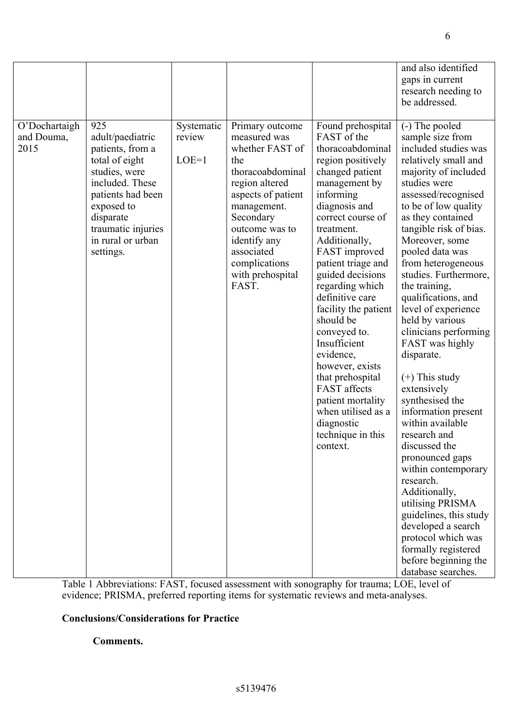|                                     |                                                                                                                                                                                                           |                                 |                                                                                                                                                                                                                                                 |                                                                                                                                                                                                                                                                                                                                                                                                                                                                                                                                            | and also identified<br>gaps in current<br>research needing to<br>be addressed.                                                                                                                                                                                                                                                                                                                                                                                                                                                                                                                                                                                                                                                                                                                                                    |
|-------------------------------------|-----------------------------------------------------------------------------------------------------------------------------------------------------------------------------------------------------------|---------------------------------|-------------------------------------------------------------------------------------------------------------------------------------------------------------------------------------------------------------------------------------------------|--------------------------------------------------------------------------------------------------------------------------------------------------------------------------------------------------------------------------------------------------------------------------------------------------------------------------------------------------------------------------------------------------------------------------------------------------------------------------------------------------------------------------------------------|-----------------------------------------------------------------------------------------------------------------------------------------------------------------------------------------------------------------------------------------------------------------------------------------------------------------------------------------------------------------------------------------------------------------------------------------------------------------------------------------------------------------------------------------------------------------------------------------------------------------------------------------------------------------------------------------------------------------------------------------------------------------------------------------------------------------------------------|
| O'Dochartaigh<br>and Douma,<br>2015 | 925<br>adult/paediatric<br>patients, from a<br>total of eight<br>studies, were<br>included. These<br>patients had been<br>exposed to<br>disparate<br>traumatic injuries<br>in rural or urban<br>settings. | Systematic<br>review<br>$LOE=1$ | Primary outcome<br>measured was<br>whether FAST of<br>the<br>thoracoabdominal<br>region altered<br>aspects of patient<br>management.<br>Secondary<br>outcome was to<br>identify any<br>associated<br>complications<br>with prehospital<br>FAST. | Found prehospital<br>FAST of the<br>thoracoabdominal<br>region positively<br>changed patient<br>management by<br>informing<br>diagnosis and<br>correct course of<br>treatment.<br>Additionally,<br>FAST improved<br>patient triage and<br>guided decisions<br>regarding which<br>definitive care<br>facility the patient<br>should be<br>conveyed to.<br>Insufficient<br>evidence,<br>however, exists<br>that prehospital<br><b>FAST</b> affects<br>patient mortality<br>when utilised as a<br>diagnostic<br>technique in this<br>context. | (-) The pooled<br>sample size from<br>included studies was<br>relatively small and<br>majority of included<br>studies were<br>assessed/recognised<br>to be of low quality<br>as they contained<br>tangible risk of bias.<br>Moreover, some<br>pooled data was<br>from heterogeneous<br>studies. Furthermore,<br>the training,<br>qualifications, and<br>level of experience<br>held by various<br>clinicians performing<br>FAST was highly<br>disparate.<br>$(+)$ This study<br>extensively<br>synthesised the<br>information present<br>within available<br>research and<br>discussed the<br>pronounced gaps<br>within contemporary<br>research.<br>Additionally,<br>utilising PRISMA<br>guidelines, this study<br>developed a search<br>protocol which was<br>formally registered<br>before beginning the<br>database searches. |

Table 1 Abbreviations: FAST, focused assessment with sonography for trauma; LOE, level of evidence; PRISMA, preferred reporting items for systematic reviews and meta-analyses.

# **Conclusions/Considerations for Practice**

### **Comments.**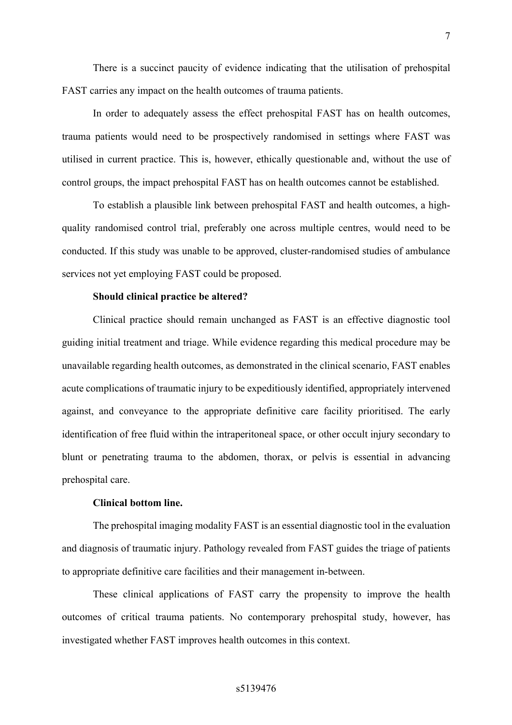There is a succinct paucity of evidence indicating that the utilisation of prehospital FAST carries any impact on the health outcomes of trauma patients.

In order to adequately assess the effect prehospital FAST has on health outcomes, trauma patients would need to be prospectively randomised in settings where FAST was utilised in current practice. This is, however, ethically questionable and, without the use of control groups, the impact prehospital FAST has on health outcomes cannot be established.

To establish a plausible link between prehospital FAST and health outcomes, a highquality randomised control trial, preferably one across multiple centres, would need to be conducted. If this study was unable to be approved, cluster-randomised studies of ambulance services not yet employing FAST could be proposed.

### **Should clinical practice be altered?**

Clinical practice should remain unchanged as FAST is an effective diagnostic tool guiding initial treatment and triage. While evidence regarding this medical procedure may be unavailable regarding health outcomes, as demonstrated in the clinical scenario, FAST enables acute complications of traumatic injury to be expeditiously identified, appropriately intervened against, and conveyance to the appropriate definitive care facility prioritised. The early identification of free fluid within the intraperitoneal space, or other occult injury secondary to blunt or penetrating trauma to the abdomen, thorax, or pelvis is essential in advancing prehospital care.

### **Clinical bottom line.**

The prehospital imaging modality FAST is an essential diagnostic tool in the evaluation and diagnosis of traumatic injury. Pathology revealed from FAST guides the triage of patients to appropriate definitive care facilities and their management in-between.

These clinical applications of FAST carry the propensity to improve the health outcomes of critical trauma patients. No contemporary prehospital study, however, has investigated whether FAST improves health outcomes in this context.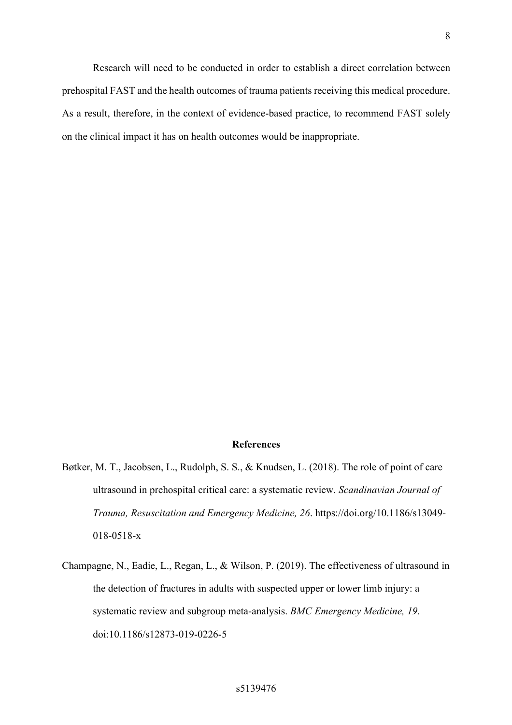Research will need to be conducted in order to establish a direct correlation between prehospital FAST and the health outcomes of trauma patients receiving this medical procedure. As a result, therefore, in the context of evidence-based practice, to recommend FAST solely on the clinical impact it has on health outcomes would be inappropriate.

### **References**

- Bøtker, M. T., Jacobsen, L., Rudolph, S. S., & Knudsen, L. (2018). The role of point of care ultrasound in prehospital critical care: a systematic review. *Scandinavian Journal of Trauma, Resuscitation and Emergency Medicine, 26*. https://doi.org/10.1186/s13049- 018-0518-x
- Champagne, N., Eadie, L., Regan, L., & Wilson, P. (2019). The effectiveness of ultrasound in the detection of fractures in adults with suspected upper or lower limb injury: a systematic review and subgroup meta-analysis. *BMC Emergency Medicine, 19*. doi:10.1186/s12873-019-0226-5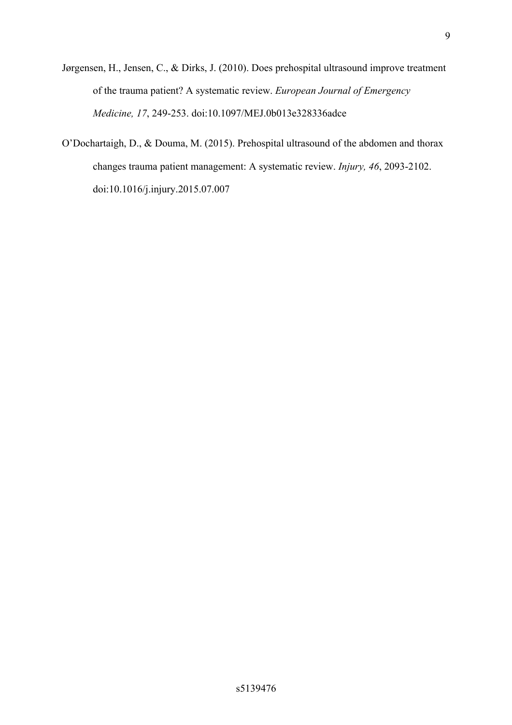- Jørgensen, H., Jensen, C., & Dirks, J. (2010). Does prehospital ultrasound improve treatment of the trauma patient? A systematic review. *European Journal of Emergency Medicine, 17*, 249-253. doi:10.1097/MEJ.0b013e328336adce
- O'Dochartaigh, D., & Douma, M. (2015). Prehospital ultrasound of the abdomen and thorax changes trauma patient management: A systematic review. *Injury, 46*, 2093-2102. doi:10.1016/j.injury.2015.07.007